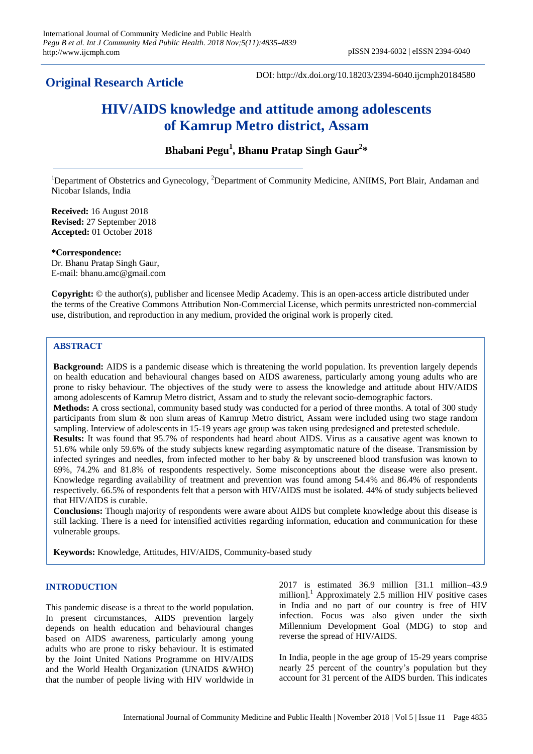**Original Research Article**

DOI: http://dx.doi.org/10.18203/2394-6040.ijcmph20184580

# **HIV/AIDS knowledge and attitude among adolescents of Kamrup Metro district, Assam**

## **Bhabani Pegu<sup>1</sup> , Bhanu Pratap Singh Gaur<sup>2</sup> \***

<sup>1</sup>Department of Obstetrics and Gynecology, <sup>2</sup>Department of Community Medicine, ANIIMS, Port Blair, Andaman and Nicobar Islands, India

**Received:** 16 August 2018 **Revised:** 27 September 2018 **Accepted:** 01 October 2018

**\*Correspondence:** Dr. Bhanu Pratap Singh Gaur, E-mail: bhanu.amc@gmail.com

**Copyright:** © the author(s), publisher and licensee Medip Academy. This is an open-access article distributed under the terms of the Creative Commons Attribution Non-Commercial License, which permits unrestricted non-commercial use, distribution, and reproduction in any medium, provided the original work is properly cited.

## **ABSTRACT**

**Background:** AIDS is a pandemic disease which is threatening the world population. Its prevention largely depends on health education and behavioural changes based on AIDS awareness, particularly among young adults who are prone to risky behaviour. The objectives of the study were to assess the knowledge and attitude about HIV/AIDS among adolescents of Kamrup Metro district, Assam and to study the relevant socio-demographic factors. **Methods:** A cross sectional, community based study was conducted for a period of three months. A total of 300 study participants from slum & non slum areas of Kamrup Metro district, Assam were included using two stage random sampling. Interview of adolescents in 15-19 years age group was taken using predesigned and pretested schedule. **Results:** It was found that 95.7% of respondents had heard about AIDS. Virus as a causative agent was known to 51.6% while only 59.6% of the study subjects knew regarding asymptomatic nature of the disease. Transmission by infected syringes and needles, from infected mother to her baby & by unscreened blood transfusion was known to 69%, 74.2% and 81.8% of respondents respectively. Some misconceptions about the disease were also present. Knowledge regarding availability of treatment and prevention was found among 54.4% and 86.4% of respondents respectively. 66.5% of respondents felt that a person with HIV/AIDS must be isolated. 44% of study subjects believed that HIV/AIDS is curable.

**Conclusions:** Though majority of respondents were aware about AIDS but complete knowledge about this disease is still lacking. There is a need for intensified activities regarding information, education and communication for these vulnerable groups.

**Keywords:** Knowledge, Attitudes, HIV/AIDS, Community-based study

## **INTRODUCTION**

This pandemic disease is a threat to the world population. In present circumstances, AIDS prevention largely depends on health education and behavioural changes based on AIDS awareness, particularly among young adults who are prone to risky behaviour. It is estimated by the Joint United Nations Programme on HIV/AIDS and the World Health Organization (UNAIDS &WHO) that the number of people living with HIV worldwide in 2017 is estimated 36.9 million [31.1 million–43.9 million].<sup>1</sup> Approximately 2.5 million HIV positive cases in India and no part of our country is free of HIV infection. Focus was also given under the sixth Millennium Development Goal (MDG) to stop and reverse the spread of HIV/AIDS.

In India, people in the age group of 15-29 years comprise nearly 25 percent of the country"s population but they account for 31 percent of the AIDS burden. This indicates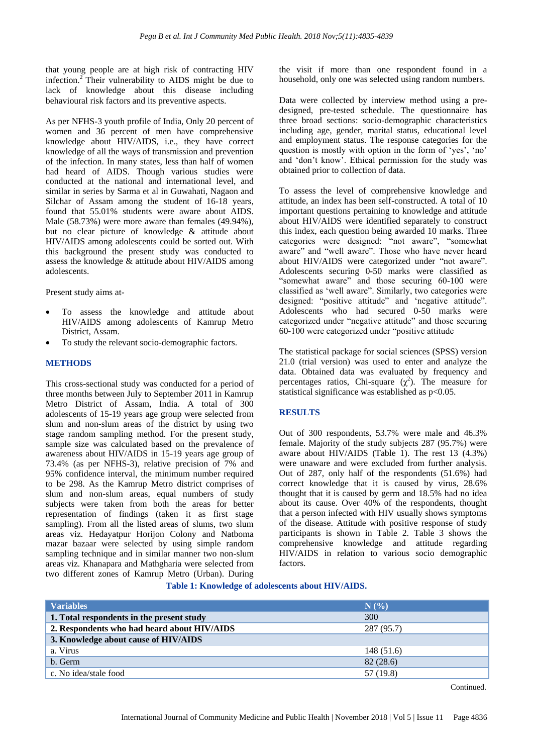that young people are at high risk of contracting HIV infection.<sup>2</sup> Their vulnerability to AIDS might be due to lack of knowledge about this disease including behavioural risk factors and its preventive aspects.

As per NFHS-3 youth profile of India, Only 20 percent of women and 36 percent of men have comprehensive knowledge about HIV/AIDS, i.e., they have correct knowledge of all the ways of transmission and prevention of the infection. In many states, less than half of women had heard of AIDS. Though various studies were conducted at the national and international level, and similar in series by Sarma et al in Guwahati, Nagaon and Silchar of Assam among the student of 16-18 years, found that 55.01% students were aware about AIDS. Male (58.73%) were more aware than females (49.94%), but no clear picture of knowledge & attitude about HIV/AIDS among adolescents could be sorted out. With this background the present study was conducted to assess the knowledge & attitude about HIV/AIDS among adolescents.

Present study aims at-

- To assess the knowledge and attitude about HIV/AIDS among adolescents of Kamrup Metro District, Assam.
- To study the relevant socio-demographic factors.

### **METHODS**

This cross-sectional study was conducted for a period of three months between July to September 2011 in Kamrup Metro District of Assam, India. A total of 300 adolescents of 15-19 years age group were selected from slum and non-slum areas of the district by using two stage random sampling method. For the present study, sample size was calculated based on the prevalence of awareness about HIV/AIDS in 15-19 years age group of 73.4% (as per NFHS-3), relative precision of 7% and 95% confidence interval, the minimum number required to be 298. As the Kamrup Metro district comprises of slum and non-slum areas, equal numbers of study subjects were taken from both the areas for better representation of findings (taken it as first stage sampling). From all the listed areas of slums, two slum areas viz. Hedayatpur Horijon Colony and Natboma mazar bazaar were selected by using simple random sampling technique and in similar manner two non-slum areas viz. Khanapara and Mathgharia were selected from two different zones of Kamrup Metro (Urban). During the visit if more than one respondent found in a household, only one was selected using random numbers.

Data were collected by interview method using a predesigned, pre-tested schedule. The questionnaire has three broad sections: socio-demographic characteristics including age, gender, marital status, educational level and employment status. The response categories for the question is mostly with option in the form of 'yes', 'no' and "don"t know". Ethical permission for the study was obtained prior to collection of data.

To assess the level of comprehensive knowledge and attitude, an index has been self-constructed. A total of 10 important questions pertaining to knowledge and attitude about HIV/AIDS were identified separately to construct this index, each question being awarded 10 marks. Three categories were designed: "not aware", "somewhat aware" and "well aware". Those who have never heard about HIV/AIDS were categorized under "not aware". Adolescents securing 0-50 marks were classified as "somewhat aware" and those securing 60-100 were classified as "well aware". Similarly, two categories were designed: "positive attitude" and "negative attitude". Adolescents who had secured 0-50 marks were categorized under "negative attitude" and those securing 60-100 were categorized under "positive attitude

The statistical package for social sciences (SPSS) version 21.0 (trial version) was used to enter and analyze the data. Obtained data was evaluated by frequency and percentages ratios, Chi-square  $(\chi^2)$ . The measure for statistical significance was established as  $p<0.05$ .

#### **RESULTS**

Out of 300 respondents, 53.7% were male and 46.3% female. Majority of the study subjects 287 (95.7%) were aware about HIV/AIDS (Table 1). The rest 13 (4.3%) were unaware and were excluded from further analysis. Out of 287, only half of the respondents (51.6%) had correct knowledge that it is caused by virus, 28.6% thought that it is caused by germ and 18.5% had no idea about its cause. Over 40% of the respondents, thought that a person infected with HIV usually shows symptoms of the disease. Attitude with positive response of study participants is shown in Table 2. Table 3 shows the comprehensive knowledge and attitude regarding HIV/AIDS in relation to various socio demographic factors.

#### **Table 1: Knowledge of adolescents about HIV/AIDS.**

| <b>Variables</b>                            | $N($ %)    |  |  |  |  |
|---------------------------------------------|------------|--|--|--|--|
| 1. Total respondents in the present study   | 300        |  |  |  |  |
| 2. Respondents who had heard about HIV/AIDS | 287 (95.7) |  |  |  |  |
| 3. Knowledge about cause of HIV/AIDS        |            |  |  |  |  |
| a. Virus                                    | 148 (51.6) |  |  |  |  |
| b. Germ                                     | 82(28.6)   |  |  |  |  |
| c. No idea/stale food                       | 57 (19.8)  |  |  |  |  |

Continued.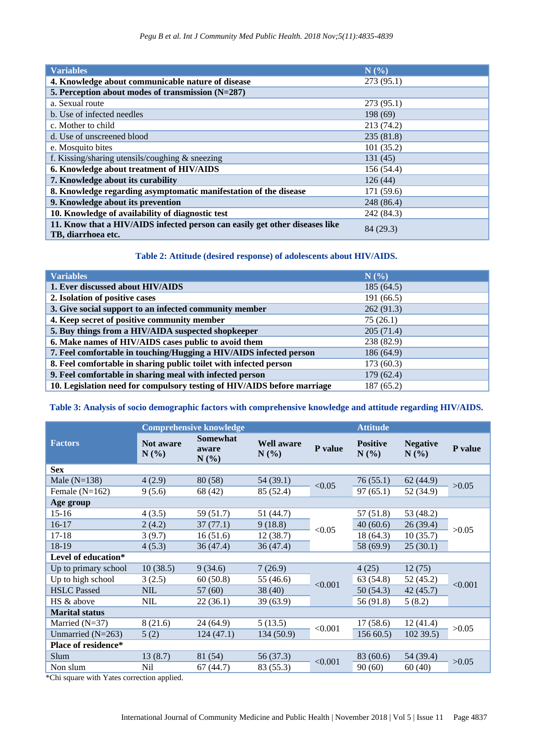| <b>Variables</b>                                                                                  | N(%)       |  |  |  |
|---------------------------------------------------------------------------------------------------|------------|--|--|--|
| 4. Knowledge about communicable nature of disease                                                 | 273(95.1)  |  |  |  |
| 5. Perception about modes of transmission (N=287)                                                 |            |  |  |  |
| a. Sexual route                                                                                   | 273(95.1)  |  |  |  |
| b. Use of infected needles                                                                        | 198 (69)   |  |  |  |
| c. Mother to child                                                                                | 213 (74.2) |  |  |  |
| d. Use of unscreened blood                                                                        | 235(81.8)  |  |  |  |
| e. Mosquito bites                                                                                 | 101(35.2)  |  |  |  |
| f. Kissing/sharing utensils/coughing $&$ sneezing                                                 | 131(45)    |  |  |  |
| 6. Knowledge about treatment of HIV/AIDS                                                          | 156 (54.4) |  |  |  |
| 7. Knowledge about its curability                                                                 | 126(44)    |  |  |  |
| 8. Knowledge regarding asymptomatic manifestation of the disease                                  | 171 (59.6) |  |  |  |
| 9. Knowledge about its prevention                                                                 | 248 (86.4) |  |  |  |
| 10. Knowledge of availability of diagnostic test                                                  | 242 (84.3) |  |  |  |
| 11. Know that a HIV/AIDS infected person can easily get other diseases like<br>TB, diarrhoea etc. | 84 (29.3)  |  |  |  |

#### **Table 2: Attitude (desired response) of adolescents about HIV/AIDS.**

| <b>Variables</b>                                                        | N(%        |  |  |  |
|-------------------------------------------------------------------------|------------|--|--|--|
| 1. Ever discussed about HIV/AIDS                                        | 185(64.5)  |  |  |  |
| 2. Isolation of positive cases                                          | 191 (66.5) |  |  |  |
| 3. Give social support to an infected community member                  | 262 (91.3) |  |  |  |
| 4. Keep secret of positive community member                             | 75(26.1)   |  |  |  |
| 5. Buy things from a HIV/AIDA suspected shopkeeper                      | 205(71.4)  |  |  |  |
| 6. Make names of HIV/AIDS cases public to avoid them                    | 238 (82.9) |  |  |  |
| 7. Feel comfortable in touching/Hugging a HIV/AIDS infected person      | 186(64.9)  |  |  |  |
| 8. Feel comfortable in sharing public toilet with infected person       | 173(60.3)  |  |  |  |
| 9. Feel comfortable in sharing meal with infected person                | 179(62.4)  |  |  |  |
| 10. Legislation need for compulsory testing of HIV/AIDS before marriage | 187 (65.2) |  |  |  |

## **Table 3: Analysis of socio demographic factors with comprehensive knowledge and attitude regarding HIV/AIDS.**

|                            | <b>Comprehensive knowledge</b> |                                  |                           |         | <b>Attitude</b>         |                         |         |
|----------------------------|--------------------------------|----------------------------------|---------------------------|---------|-------------------------|-------------------------|---------|
| <b>Factors</b>             | <b>Not aware</b><br>N(%)       | <b>Somewhat</b><br>aware<br>N(%) | <b>Well aware</b><br>N(%) | P value | <b>Positive</b><br>N(%) | <b>Negative</b><br>N(%) | P value |
| <b>Sex</b>                 |                                |                                  |                           |         |                         |                         |         |
| Male $(N=138)$             | 4(2.9)                         | 80(58)                           | 54 (39.1)                 | < 0.05  | 76(55.1)                | 62(44.9)                | >0.05   |
| Female $(N=162)$           | 9(5.6)                         | 68 (42)                          | 85 (52.4)                 |         | 97(65.1)                | 52 (34.9)               |         |
| Age group                  |                                |                                  |                           |         |                         |                         |         |
| $15-16$                    | 4(3.5)                         | 59 (51.7)                        | 51 (44.7)                 |         | 57 (51.8)               | 53 (48.2)               | >0.05   |
| $16-17$                    | 2(4.2)                         | 37(77.1)                         | 9(18.8)                   | < 0.05  | 40(60.6)                | 26(39.4)                |         |
| $17 - 18$                  | 3(9.7)                         | 16(51.6)                         | 12(38.7)                  |         | 18 (64.3)               | 10(35.7)                |         |
| 18-19                      | 4(5.3)                         | 36(47.4)                         | 36(47.4)                  |         | 58 (69.9)               | 25(30.1)                |         |
| Level of education*        |                                |                                  |                           |         |                         |                         |         |
| Up to primary school       | 10(38.5)                       | 9(34.6)                          | 7(26.9)                   |         | 4(25)                   | 12(75)                  | < 0.001 |
| Up to high school          | 3(2.5)                         | 60(50.8)                         | 55 (46.6)                 | < 0.001 | 63 (54.8)               | 52(45.2)                |         |
| <b>HSLC</b> Passed         | <b>NIL</b>                     | 57 (60)                          | 38(40)                    |         | 50 (54.3)               | 42(45.7)                |         |
| HS & above                 | <b>NIL</b>                     | 22 (36.1)                        | 39 (63.9)                 |         | 56 (91.8)               | 5(8.2)                  |         |
| <b>Marital status</b>      |                                |                                  |                           |         |                         |                         |         |
| Married $(N=37)$           | 8(21.6)                        | 24(64.9)                         | 5(13.5)                   | < 0.001 | 17(58.6)                | 12(41.4)                | >0.05   |
| Unmarried $(N=263)$        | 5(2)                           | 124(47.1)                        | 134 (50.9)                |         | 15660.5                 | 10239.5                 |         |
| <b>Place of residence*</b> |                                |                                  |                           |         |                         |                         |         |
| Slum                       | 13(8.7)                        | 81 (54)                          | 56 (37.3)                 | < 0.001 | 83 (60.6)               | 54 (39.4)               | >0.05   |
| Non slum                   | Nil                            | 67(44.7)                         | 83 (55.3)                 |         | 90(60)                  | 60(40)                  |         |

\*Chi square with Yates correction applied.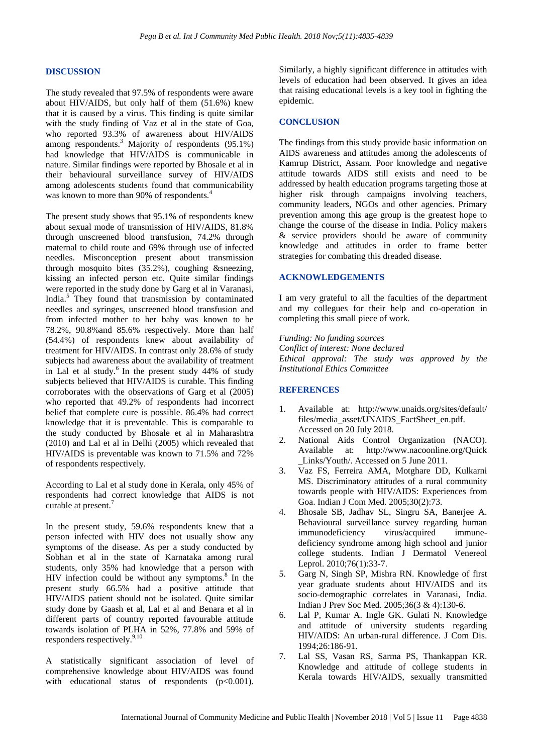#### **DISCUSSION**

The study revealed that 97.5% of respondents were aware about HIV/AIDS, but only half of them (51.6%) knew that it is caused by a virus. This finding is quite similar with the study finding of Vaz et al in the state of Goa, who reported 93.3% of awareness about HIV/AIDS among respondents.<sup>3</sup> Majority of respondents (95.1%) had knowledge that HIV/AIDS is communicable in nature. Similar findings were reported by Bhosale et al in their behavioural surveillance survey of HIV/AIDS among adolescents students found that communicability was known to more than 90% of respondents.<sup>4</sup>

The present study shows that 95.1% of respondents knew about sexual mode of transmission of HIV/AIDS, 81.8% through unscreened blood transfusion, 74.2% through maternal to child route and 69% through use of infected needles. Misconception present about transmission through mosquito bites (35.2%), coughing &sneezing, kissing an infected person etc. Quite similar findings were reported in the study done by Garg et al in Varanasi, India.<sup>5</sup> They found that transmission by contaminated needles and syringes, unscreened blood transfusion and from infected mother to her baby was known to be 78.2%, 90.8%and 85.6% respectively. More than half (54.4%) of respondents knew about availability of treatment for HIV/AIDS. In contrast only 28.6% of study subjects had awareness about the availability of treatment in Lal et al study.<sup>6</sup> In the present study  $44%$  of study subjects believed that HIV/AIDS is curable. This finding corroborates with the observations of Garg et al (2005) who reported that 49.2% of respondents had incorrect belief that complete cure is possible. 86.4% had correct knowledge that it is preventable. This is comparable to the study conducted by Bhosale et al in Maharashtra (2010) and Lal et al in Delhi (2005) which revealed that HIV/AIDS is preventable was known to 71.5% and 72% of respondents respectively.

According to Lal et al study done in Kerala, only 45% of respondents had correct knowledge that AIDS is not curable at present.<sup>7</sup>

In the present study, 59.6% respondents knew that a person infected with HIV does not usually show any symptoms of the disease. As per a study conducted by Sobhan et al in the state of Karnataka among rural students, only 35% had knowledge that a person with HIV infection could be without any symptoms. $8 \text{ In the}$ present study 66.5% had a positive attitude that HIV/AIDS patient should not be isolated. Quite similar study done by Gaash et al, Lal et al and Benara et al in different parts of country reported favourable attitude towards isolation of PLHA in 52%, 77.8% and 59% of responders respectively.<sup>9,10</sup>

A statistically significant association of level of comprehensive knowledge about HIV/AIDS was found with educational status of respondents  $(p<0.001)$ . Similarly, a highly significant difference in attitudes with levels of education had been observed. It gives an idea that raising educational levels is a key tool in fighting the epidemic.

#### **CONCLUSION**

The findings from this study provide basic information on AIDS awareness and attitudes among the adolescents of Kamrup District, Assam. Poor knowledge and negative attitude towards AIDS still exists and need to be addressed by health education programs targeting those at higher risk through campaigns involving teachers, community leaders, NGOs and other agencies. Primary prevention among this age group is the greatest hope to change the course of the disease in India. Policy makers & service providers should be aware of community knowledge and attitudes in order to frame better strategies for combating this dreaded disease.

#### **ACKNOWLEDGEMENTS**

I am very grateful to all the faculties of the department and my collegues for their help and co-operation in completing this small piece of work.

*Funding: No funding sources Conflict of interest: None declared Ethical approval: The study was approved by the Institutional Ethics Committee*

#### **REFERENCES**

- 1. Available at: http://www.unaids.org/sites/default/ files/media\_asset/UNAIDS\_FactSheet\_en.pdf. Accessed on 20 July 2018.
- 2. National Aids Control Organization (NACO). Available at: http://www.nacoonline.org/Quick \_Links/Youth/. Accessed on 5 June 2011.
- 3. Vaz FS, Ferreira AMA, Motghare DD, Kulkarni MS. Discriminatory attitudes of a rural community towards people with HIV/AIDS: Experiences from Goa. Indian J Com Med. 2005;30(2):73.
- 4. Bhosale SB, Jadhav SL, Singru SA, Banerjee A. Behavioural surveillance survey regarding human immunodeficiency virus/acquired immunedeficiency syndrome among high school and junior college students. Indian J Dermatol Venereol Leprol. 2010;76(1):33-7.
- 5. Garg N, Singh SP, Mishra RN. Knowledge of first year graduate students about HIV/AIDS and its socio-demographic correlates in Varanasi, India. Indian J Prev Soc Med. 2005;36(3 & 4):130-6.
- 6. Lal P, Kumar A. Ingle GK. Gulati N. Knowledge and attitude of university students regarding HIV/AIDS: An urban-rural difference. J Com Dis. 1994;26:186-91.
- 7. Lal SS, Vasan RS, Sarma PS, Thankappan KR. Knowledge and attitude of college students in Kerala towards HIV/AIDS, sexually transmitted